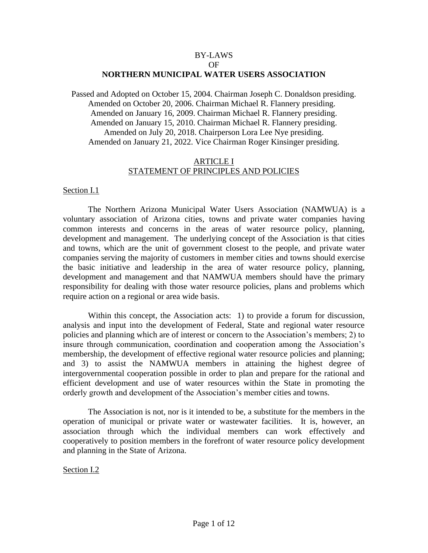## BY-LAWS OF **NORTHERN MUNICIPAL WATER USERS ASSOCIATION**

Passed and Adopted on October 15, 2004. Chairman Joseph C. Donaldson presiding. Amended on October 20, 2006. Chairman Michael R. Flannery presiding. Amended on January 16, 2009. Chairman Michael R. Flannery presiding. Amended on January 15, 2010. Chairman Michael R. Flannery presiding. Amended on July 20, 2018. Chairperson Lora Lee Nye presiding. Amended on January 21, 2022. Vice Chairman Roger Kinsinger presiding.

## ARTICLE I STATEMENT OF PRINCIPLES AND POLICIES

### Section I.1

The Northern Arizona Municipal Water Users Association (NAMWUA) is a voluntary association of Arizona cities, towns and private water companies having common interests and concerns in the areas of water resource policy, planning, development and management. The underlying concept of the Association is that cities and towns, which are the unit of government closest to the people, and private water companies serving the majority of customers in member cities and towns should exercise the basic initiative and leadership in the area of water resource policy, planning, development and management and that NAMWUA members should have the primary responsibility for dealing with those water resource policies, plans and problems which require action on a regional or area wide basis.

Within this concept, the Association acts: 1) to provide a forum for discussion, analysis and input into the development of Federal, State and regional water resource policies and planning which are of interest or concern to the Association's members; 2) to insure through communication, coordination and cooperation among the Association's membership, the development of effective regional water resource policies and planning; and 3) to assist the NAMWUA members in attaining the highest degree of intergovernmental cooperation possible in order to plan and prepare for the rational and efficient development and use of water resources within the State in promoting the orderly growth and development of the Association's member cities and towns.

The Association is not, nor is it intended to be, a substitute for the members in the operation of municipal or private water or wastewater facilities. It is, however, an association through which the individual members can work effectively and cooperatively to position members in the forefront of water resource policy development and planning in the State of Arizona.

Section I.2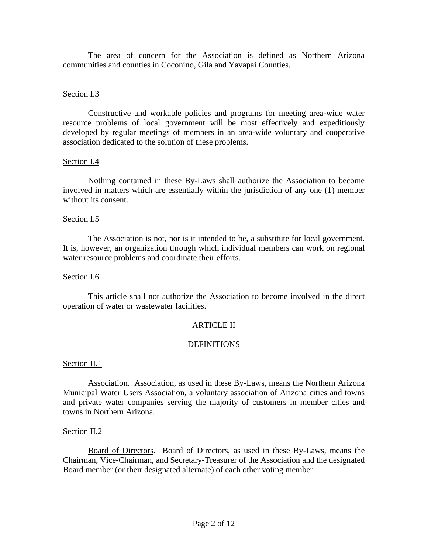The area of concern for the Association is defined as Northern Arizona communities and counties in Coconino, Gila and Yavapai Counties.

# Section I.3

Constructive and workable policies and programs for meeting area-wide water resource problems of local government will be most effectively and expeditiously developed by regular meetings of members in an area-wide voluntary and cooperative association dedicated to the solution of these problems.

# Section I.4

Nothing contained in these By-Laws shall authorize the Association to become involved in matters which are essentially within the jurisdiction of any one (1) member without its consent.

## Section I.5

The Association is not, nor is it intended to be, a substitute for local government. It is, however, an organization through which individual members can work on regional water resource problems and coordinate their efforts.

### Section I.6

This article shall not authorize the Association to become involved in the direct operation of water or wastewater facilities.

# ARTICLE II

# **DEFINITIONS**

### Section II.1

Association. Association, as used in these By-Laws, means the Northern Arizona Municipal Water Users Association, a voluntary association of Arizona cities and towns and private water companies serving the majority of customers in member cities and towns in Northern Arizona.

### Section II.2

Board of Directors. Board of Directors, as used in these By-Laws, means the Chairman, Vice-Chairman, and Secretary-Treasurer of the Association and the designated Board member (or their designated alternate) of each other voting member.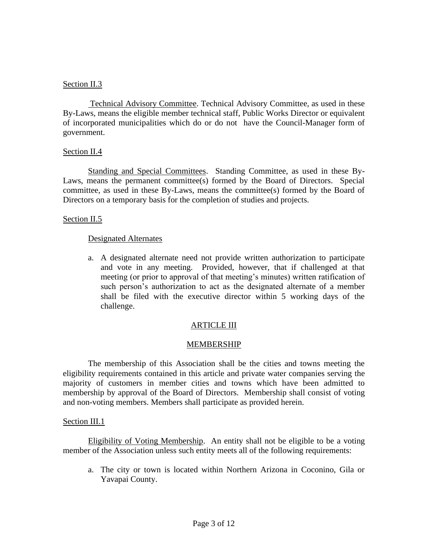# Section II.3

Technical Advisory Committee. Technical Advisory Committee, as used in these By-Laws, means the eligible member technical staff, Public Works Director or equivalent of incorporated municipalities which do or do not have the Council-Manager form of government.

# Section II.4

Standing and Special Committees. Standing Committee, as used in these By-Laws, means the permanent committee(s) formed by the Board of Directors. Special committee, as used in these By-Laws, means the committee(s) formed by the Board of Directors on a temporary basis for the completion of studies and projects.

## Section II.5

## Designated Alternates

a. A designated alternate need not provide written authorization to participate and vote in any meeting. Provided, however, that if challenged at that meeting (or prior to approval of that meeting's minutes) written ratification of such person's authorization to act as the designated alternate of a member shall be filed with the executive director within 5 working days of the challenge.

# ARTICLE III

# **MEMBERSHIP**

The membership of this Association shall be the cities and towns meeting the eligibility requirements contained in this article and private water companies serving the majority of customers in member cities and towns which have been admitted to membership by approval of the Board of Directors. Membership shall consist of voting and non-voting members. Members shall participate as provided herein.

### Section III.1

Eligibility of Voting Membership. An entity shall not be eligible to be a voting member of the Association unless such entity meets all of the following requirements:

a. The city or town is located within Northern Arizona in Coconino, Gila or Yavapai County.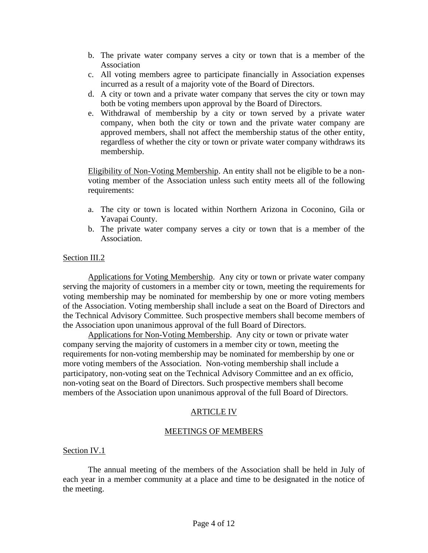- b. The private water company serves a city or town that is a member of the Association
- c. All voting members agree to participate financially in Association expenses incurred as a result of a majority vote of the Board of Directors.
- d. A city or town and a private water company that serves the city or town may both be voting members upon approval by the Board of Directors.
- e. Withdrawal of membership by a city or town served by a private water company, when both the city or town and the private water company are approved members, shall not affect the membership status of the other entity, regardless of whether the city or town or private water company withdraws its membership.

Eligibility of Non-Voting Membership. An entity shall not be eligible to be a nonvoting member of the Association unless such entity meets all of the following requirements:

- a. The city or town is located within Northern Arizona in Coconino, Gila or Yavapai County.
- b. The private water company serves a city or town that is a member of the Association.

# Section III.2

Applications for Voting Membership. Any city or town or private water company serving the majority of customers in a member city or town, meeting the requirements for voting membership may be nominated for membership by one or more voting members of the Association. Voting membership shall include a seat on the Board of Directors and the Technical Advisory Committee. Such prospective members shall become members of the Association upon unanimous approval of the full Board of Directors.

Applications for Non-Voting Membership. Any city or town or private water company serving the majority of customers in a member city or town, meeting the requirements for non-voting membership may be nominated for membership by one or more voting members of the Association. Non-voting membership shall include a participatory, non-voting seat on the Technical Advisory Committee and an ex officio, non-voting seat on the Board of Directors. Such prospective members shall become members of the Association upon unanimous approval of the full Board of Directors.

# ARTICLE IV

# MEETINGS OF MEMBERS

# Section IV.1

The annual meeting of the members of the Association shall be held in July of each year in a member community at a place and time to be designated in the notice of the meeting.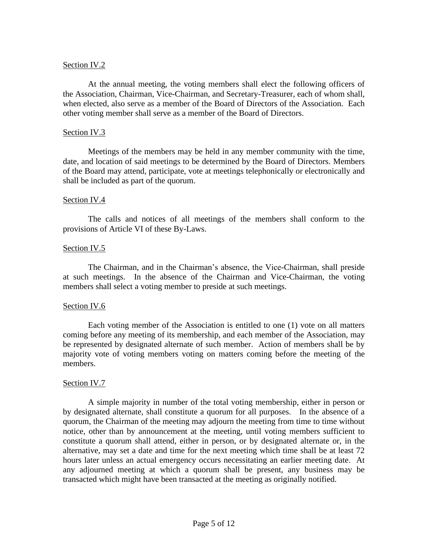## Section IV.2

At the annual meeting, the voting members shall elect the following officers of the Association, Chairman, Vice-Chairman, and Secretary-Treasurer, each of whom shall, when elected, also serve as a member of the Board of Directors of the Association. Each other voting member shall serve as a member of the Board of Directors.

### Section IV.3

Meetings of the members may be held in any member community with the time, date, and location of said meetings to be determined by the Board of Directors. Members of the Board may attend, participate, vote at meetings telephonically or electronically and shall be included as part of the quorum.

## Section IV.4

The calls and notices of all meetings of the members shall conform to the provisions of Article VI of these By-Laws.

## Section IV.5

The Chairman, and in the Chairman's absence, the Vice-Chairman, shall preside at such meetings. In the absence of the Chairman and Vice-Chairman, the voting members shall select a voting member to preside at such meetings.

### Section IV.6

Each voting member of the Association is entitled to one (1) vote on all matters coming before any meeting of its membership, and each member of the Association, may be represented by designated alternate of such member. Action of members shall be by majority vote of voting members voting on matters coming before the meeting of the members.

### Section IV.7

A simple majority in number of the total voting membership, either in person or by designated alternate, shall constitute a quorum for all purposes. In the absence of a quorum, the Chairman of the meeting may adjourn the meeting from time to time without notice, other than by announcement at the meeting, until voting members sufficient to constitute a quorum shall attend, either in person, or by designated alternate or, in the alternative, may set a date and time for the next meeting which time shall be at least 72 hours later unless an actual emergency occurs necessitating an earlier meeting date. At any adjourned meeting at which a quorum shall be present, any business may be transacted which might have been transacted at the meeting as originally notified.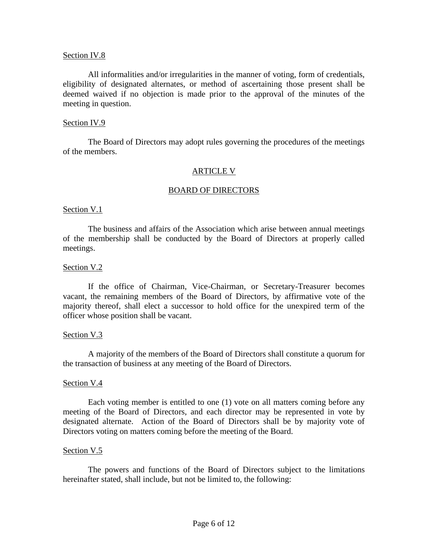## Section IV.8

All informalities and/or irregularities in the manner of voting, form of credentials, eligibility of designated alternates, or method of ascertaining those present shall be deemed waived if no objection is made prior to the approval of the minutes of the meeting in question.

### Section IV.9

The Board of Directors may adopt rules governing the procedures of the meetings of the members.

## ARTICLE V

## BOARD OF DIRECTORS

### Section V.1

The business and affairs of the Association which arise between annual meetings of the membership shall be conducted by the Board of Directors at properly called meetings.

### Section V.2

If the office of Chairman, Vice-Chairman, or Secretary-Treasurer becomes vacant, the remaining members of the Board of Directors, by affirmative vote of the majority thereof, shall elect a successor to hold office for the unexpired term of the officer whose position shall be vacant.

### Section V.3

A majority of the members of the Board of Directors shall constitute a quorum for the transaction of business at any meeting of the Board of Directors.

### Section V.4

Each voting member is entitled to one (1) vote on all matters coming before any meeting of the Board of Directors, and each director may be represented in vote by designated alternate. Action of the Board of Directors shall be by majority vote of Directors voting on matters coming before the meeting of the Board.

### Section V.5

The powers and functions of the Board of Directors subject to the limitations hereinafter stated, shall include, but not be limited to, the following: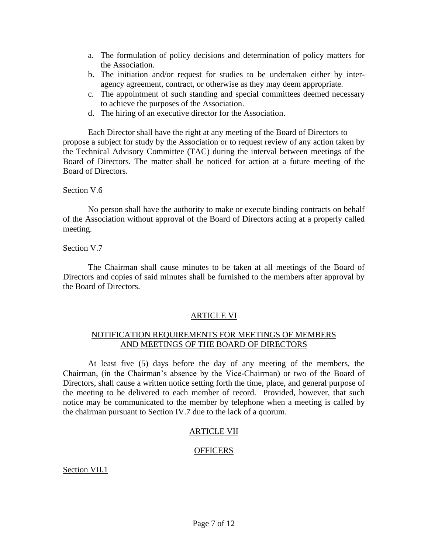- a. The formulation of policy decisions and determination of policy matters for the Association.
- b. The initiation and/or request for studies to be undertaken either by interagency agreement, contract, or otherwise as they may deem appropriate.
- c. The appointment of such standing and special committees deemed necessary to achieve the purposes of the Association.
- d. The hiring of an executive director for the Association.

Each Director shall have the right at any meeting of the Board of Directors to propose a subject for study by the Association or to request review of any action taken by the Technical Advisory Committee (TAC) during the interval between meetings of the Board of Directors. The matter shall be noticed for action at a future meeting of the Board of Directors.

# Section V.6

No person shall have the authority to make or execute binding contracts on behalf of the Association without approval of the Board of Directors acting at a properly called meeting.

# Section V.7

The Chairman shall cause minutes to be taken at all meetings of the Board of Directors and copies of said minutes shall be furnished to the members after approval by the Board of Directors.

# ARTICLE VI

# NOTIFICATION REQUIREMENTS FOR MEETINGS OF MEMBERS AND MEETINGS OF THE BOARD OF DIRECTORS

At least five (5) days before the day of any meeting of the members, the Chairman, (in the Chairman's absence by the Vice-Chairman) or two of the Board of Directors, shall cause a written notice setting forth the time, place, and general purpose of the meeting to be delivered to each member of record. Provided, however, that such notice may be communicated to the member by telephone when a meeting is called by the chairman pursuant to Section IV.7 due to the lack of a quorum.

# ARTICLE VII

# **OFFICERS**

Section VII.1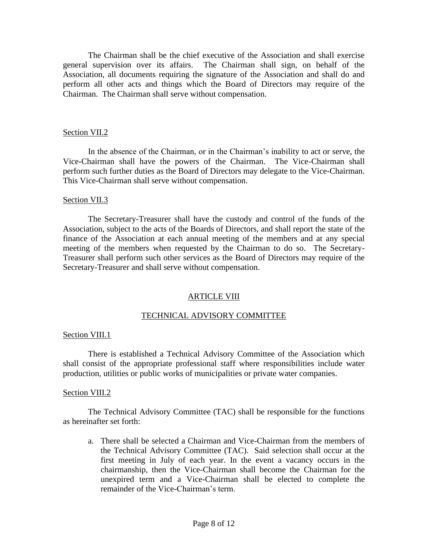The Chairman shall be the chief executive of the Association and shall exercise general supervision over its affairs. The Chairman shall sign, on behalf of the Association, all documents requiring the signature of the Association and shall do and perform all other acts and things which the Board of Directors may require of the Chairman. The Chairman shall serve without compensation.

## Section VII.2

In the absence of the Chairman, or in the Chairman's inability to act or serve, the Vice-Chairman shall have the powers of the Chairman. The Vice-Chairman shall perform such further duties as the Board of Directors may delegate to the Vice-Chairman. This Vice-Chairman shall serve without compensation.

## Section VII.3

The Secretary-Treasurer shall have the custody and control of the funds of the Association, subject to the acts of the Boards of Directors, and shall report the state of the finance of the Association at each annual meeting of the members and at any special meeting of the members when requested by the Chairman to do so. The Secretary-Treasurer shall perform such other services as the Board of Directors may require of the Secretary-Treasurer and shall serve without compensation.

# ARTICLE VIII

# TECHNICAL ADVISORY COMMITTEE

### Section VIII.1

There is established a Technical Advisory Committee of the Association which shall consist of the appropriate professional staff where responsibilities include water production, utilities or public works of municipalities or private water companies.

### Section VIII.2

The Technical Advisory Committee (TAC) shall be responsible for the functions as hereinafter set forth:

a. There shall be selected a Chairman and Vice-Chairman from the members of the Technical Advisory Committee (TAC). Said selection shall occur at the first meeting in July of each year. In the event a vacancy occurs in the chairmanship, then the Vice-Chairman shall become the Chairman for the unexpired term and a Vice-Chairman shall be elected to complete the remainder of the Vice-Chairman's term.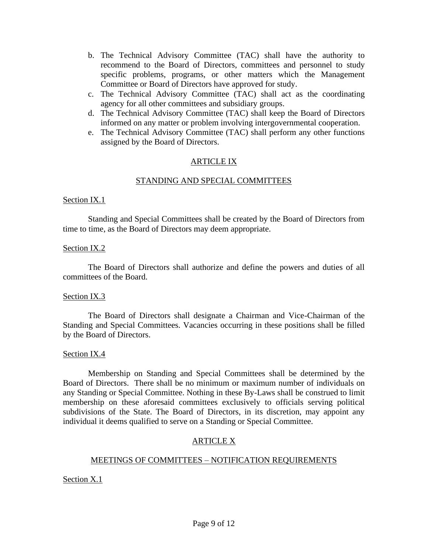- b. The Technical Advisory Committee (TAC) shall have the authority to recommend to the Board of Directors, committees and personnel to study specific problems, programs, or other matters which the Management Committee or Board of Directors have approved for study.
- c. The Technical Advisory Committee (TAC) shall act as the coordinating agency for all other committees and subsidiary groups.
- d. The Technical Advisory Committee (TAC) shall keep the Board of Directors informed on any matter or problem involving intergovernmental cooperation.
- e. The Technical Advisory Committee (TAC) shall perform any other functions assigned by the Board of Directors.

# ARTICLE IX

# STANDING AND SPECIAL COMMITTEES

# Section IX.1

Standing and Special Committees shall be created by the Board of Directors from time to time, as the Board of Directors may deem appropriate.

# Section IX.2

The Board of Directors shall authorize and define the powers and duties of all committees of the Board.

# Section IX.3

The Board of Directors shall designate a Chairman and Vice-Chairman of the Standing and Special Committees. Vacancies occurring in these positions shall be filled by the Board of Directors.

# Section IX.4

Membership on Standing and Special Committees shall be determined by the Board of Directors. There shall be no minimum or maximum number of individuals on any Standing or Special Committee. Nothing in these By-Laws shall be construed to limit membership on these aforesaid committees exclusively to officials serving political subdivisions of the State. The Board of Directors, in its discretion, may appoint any individual it deems qualified to serve on a Standing or Special Committee.

# ARTICLE X

# MEETINGS OF COMMITTEES – NOTIFICATION REQUIREMENTS

Section X.1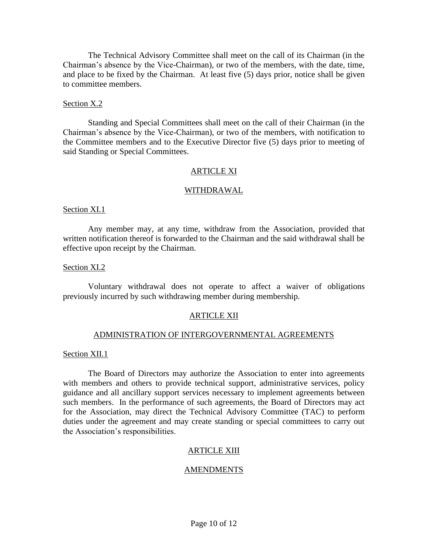The Technical Advisory Committee shall meet on the call of its Chairman (in the Chairman's absence by the Vice-Chairman), or two of the members, with the date, time, and place to be fixed by the Chairman. At least five (5) days prior, notice shall be given to committee members.

## Section X.2

Standing and Special Committees shall meet on the call of their Chairman (in the Chairman's absence by the Vice-Chairman), or two of the members, with notification to the Committee members and to the Executive Director five (5) days prior to meeting of said Standing or Special Committees.

## ARTICLE XI

### WITHDRAWAL

### Section XI.1

Any member may, at any time, withdraw from the Association, provided that written notification thereof is forwarded to the Chairman and the said withdrawal shall be effective upon receipt by the Chairman.

### Section XI.2

Voluntary withdrawal does not operate to affect a waiver of obligations previously incurred by such withdrawing member during membership.

### ARTICLE XII

### ADMINISTRATION OF INTERGOVERNMENTAL AGREEMENTS

### Section XII.1

The Board of Directors may authorize the Association to enter into agreements with members and others to provide technical support, administrative services, policy guidance and all ancillary support services necessary to implement agreements between such members. In the performance of such agreements, the Board of Directors may act for the Association, may direct the Technical Advisory Committee (TAC) to perform duties under the agreement and may create standing or special committees to carry out the Association's responsibilities.

# ARTICLE XIII

# AMENDMENTS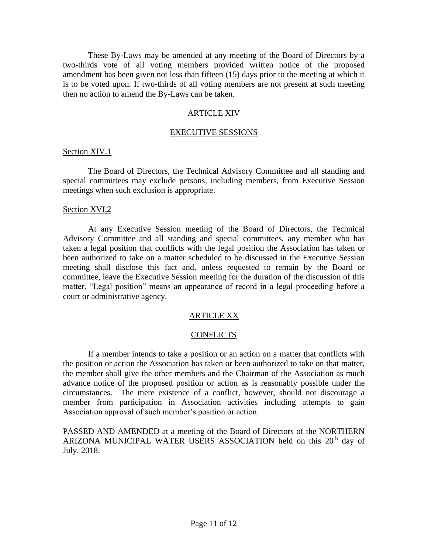These By-Laws may be amended at any meeting of the Board of Directors by a two-thirds vote of all voting members provided written notice of the proposed amendment has been given not less than fifteen (15) days prior to the meeting at which it is to be voted upon. If two-thirds of all voting members are not present at such meeting then no action to amend the By-Laws can be taken.

## ARTICLE XIV

### EXECUTIVE SESSIONS

### Section XIV.1

The Board of Directors, the Technical Advisory Committee and all standing and special committees may exclude persons, including members, from Executive Session meetings when such exclusion is appropriate.

#### Section XVI.2

At any Executive Session meeting of the Board of Directors, the Technical Advisory Committee and all standing and special committees, any member who has taken a legal position that conflicts with the legal position the Association has taken or been authorized to take on a matter scheduled to be discussed in the Executive Session meeting shall disclose this fact and, unless requested to remain by the Board or committee, leave the Executive Session meeting for the duration of the discussion of this matter. "Legal position" means an appearance of record in a legal proceeding before a court or administrative agency.

## ARTICLE XX

### **CONFLICTS**

If a member intends to take a position or an action on a matter that conflicts with the position or action the Association has taken or been authorized to take on that matter, the member shall give the other members and the Chairman of the Association as much advance notice of the proposed position or action as is reasonably possible under the circumstances. The mere existence of a conflict, however, should not discourage a member from participation in Association activities including attempts to gain Association approval of such member's position or action.

PASSED AND AMENDED at a meeting of the Board of Directors of the NORTHERN ARIZONA MUNICIPAL WATER USERS ASSOCIATION held on this  $20<sup>th</sup>$  day of July, 2018.